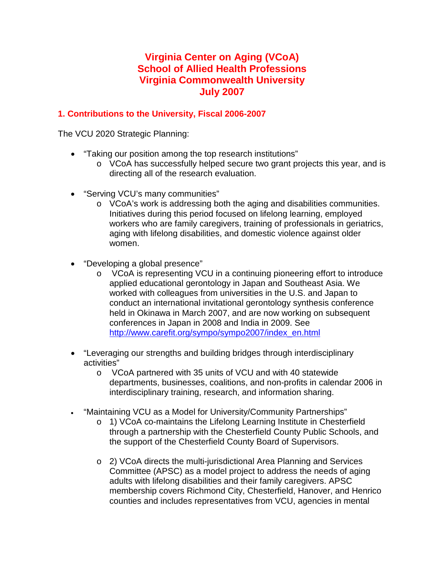# **Virginia Center on Aging (VCoA) School of Allied Health Professions Virginia Commonwealth University July 2007**

## **1. Contributions to the University, Fiscal 2006-2007**

The VCU 2020 Strategic Planning:

- "Taking our position among the top research institutions"
	- o VCoA has successfully helped secure two grant projects this year, and is directing all of the research evaluation.
- "Serving VCU's many communities"
	- o VCoA's work is addressing both the aging and disabilities communities. Initiatives during this period focused on lifelong learning, employed workers who are family caregivers, training of professionals in geriatrics, aging with lifelong disabilities, and domestic violence against older women.
- "Developing a global presence"
	- o VCoA is representing VCU in a continuing pioneering effort to introduce applied educational gerontology in Japan and Southeast Asia. We worked with colleagues from universities in the U.S. and Japan to conduct an international invitational gerontology synthesis conference held in Okinawa in March 2007, and are now working on subsequent conferences in Japan in 2008 and India in 2009. See [http://www.carefit.org/sympo/sympo2007/index\\_en.html](http://www.carefit.org/sympo/sympo2007/index_en.html)
- "Leveraging our strengths and building bridges through interdisciplinary activities"
	- o VCoA partnered with 35 units of VCU and with 40 statewide departments, businesses, coalitions, and non-profits in calendar 2006 in interdisciplinary training, research, and information sharing.
- "Maintaining VCU as a Model for University/Community Partnerships"
	- $\circ$  1) VCoA co-maintains the Lifelong Learning Institute in Chesterfield through a partnership with the Chesterfield County Public Schools, and the support of the Chesterfield County Board of Supervisors.
	- o 2) VCoA directs the multi-jurisdictional Area Planning and Services Committee (APSC) as a model project to address the needs of aging adults with lifelong disabilities and their family caregivers. APSC membership covers Richmond City, Chesterfield, Hanover, and Henrico counties and includes representatives from VCU, agencies in mental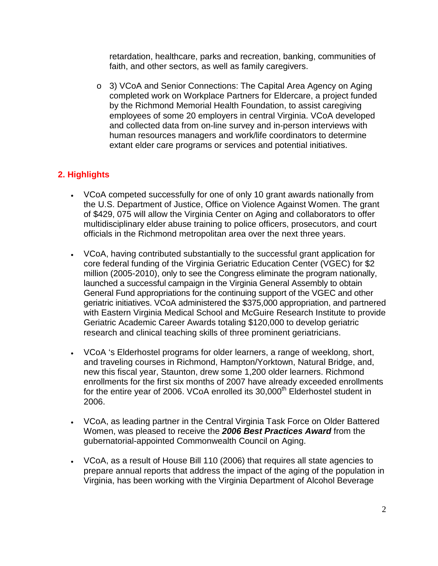retardation, healthcare, parks and recreation, banking, communities of faith, and other sectors, as well as family caregivers.

o 3) VCoA and Senior Connections: The Capital Area Agency on Aging completed work on Workplace Partners for Eldercare, a project funded by the Richmond Memorial Health Foundation, to assist caregiving employees of some 20 employers in central Virginia. VCoA developed and collected data from on-line survey and in-person interviews with human resources managers and work/life coordinators to determine extant elder care programs or services and potential initiatives.

## **2. Highlights**

- VCoA competed successfully for one of only 10 grant awards nationally from the U.S. Department of Justice, Office on Violence Against Women. The grant of \$429, 075 will allow the Virginia Center on Aging and collaborators to offer multidisciplinary elder abuse training to police officers, prosecutors, and court officials in the Richmond metropolitan area over the next three years.
- VCoA, having contributed substantially to the successful grant application for core federal funding of the Virginia Geriatric Education Center (VGEC) for \$2 million (2005-2010), only to see the Congress eliminate the program nationally, launched a successful campaign in the Virginia General Assembly to obtain General Fund appropriations for the continuing support of the VGEC and other geriatric initiatives. VCoA administered the \$375,000 appropriation, and partnered with Eastern Virginia Medical School and McGuire Research Institute to provide Geriatric Academic Career Awards totaling \$120,000 to develop geriatric research and clinical teaching skills of three prominent geriatricians.
- VCoA 's Elderhostel programs for older learners, a range of weeklong, short, and traveling courses in Richmond, Hampton/Yorktown, Natural Bridge, and, new this fiscal year, Staunton, drew some 1,200 older learners. Richmond enrollments for the first six months of 2007 have already exceeded enrollments for the entire year of 2006. VCoA enrolled its  $30,000<sup>th</sup>$  Elderhostel student in 2006.
- VCoA, as leading partner in the Central Virginia Task Force on Older Battered Women, was pleased to receive the *2006 Best Practices Award* from the gubernatorial-appointed Commonwealth Council on Aging.
- VCoA, as a result of House Bill 110 (2006) that requires all state agencies to prepare annual reports that address the impact of the aging of the population in Virginia, has been working with the Virginia Department of Alcohol Beverage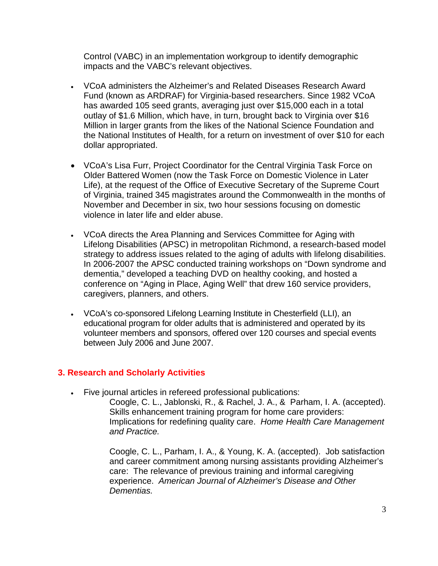Control (VABC) in an implementation workgroup to identify demographic impacts and the VABC's relevant objectives.

- VCoA administers the Alzheimer's and Related Diseases Research Award Fund (known as ARDRAF) for Virginia-based researchers. Since 1982 VCoA has awarded 105 seed grants, averaging just over \$15,000 each in a total outlay of \$1.6 Million, which have, in turn, brought back to Virginia over \$16 Million in larger grants from the likes of the National Science Foundation and the National Institutes of Health, for a return on investment of over \$10 for each dollar appropriated.
- VCoA's Lisa Furr, Project Coordinator for the Central Virginia Task Force on Older Battered Women (now the Task Force on Domestic Violence in Later Life), at the request of the Office of Executive Secretary of the Supreme Court of Virginia, trained 345 magistrates around the Commonwealth in the months of November and December in six, two hour sessions focusing on domestic violence in later life and elder abuse.
- VCoA directs the Area Planning and Services Committee for Aging with Lifelong Disabilities (APSC) in metropolitan Richmond, a research-based model strategy to address issues related to the aging of adults with lifelong disabilities. In 2006-2007 the APSC conducted training workshops on "Down syndrome and dementia," developed a teaching DVD on healthy cooking, and hosted a conference on "Aging in Place, Aging Well" that drew 160 service providers, caregivers, planners, and others.
- VCoA's co-sponsored Lifelong Learning Institute in Chesterfield (LLI), an educational program for older adults that is administered and operated by its volunteer members and sponsors, offered over 120 courses and special events between July 2006 and June 2007.

#### **3. Research and Scholarly Activities**

• Five journal articles in refereed professional publications:

Coogle, C. L., Jablonski, R., & Rachel, J. A., & Parham, I. A. (accepted). Skills enhancement training program for home care providers: Implications for redefining quality care. *Home Health Care Management and Practice.*

Coogle, C. L., Parham, I. A., & Young, K. A. (accepted). Job satisfaction and career commitment among nursing assistants providing Alzheimer's care: The relevance of previous training and informal caregiving experience. *American Journal of Alzheimer's Disease and Other Dementias.*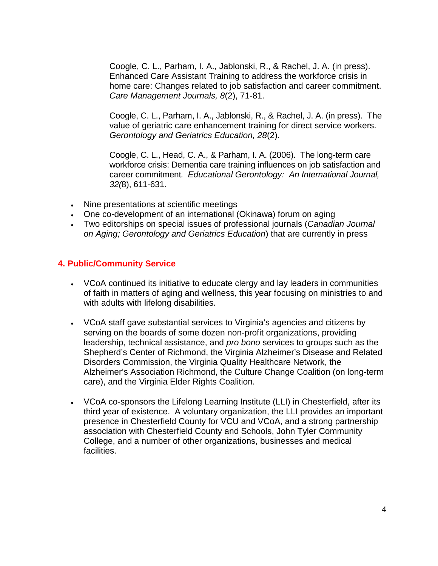Coogle, C. L., Parham, I. A., Jablonski, R., & Rachel, J. A. (in press). Enhanced Care Assistant Training to address the workforce crisis in home care: Changes related to job satisfaction and career commitment. *Care Management Journals, 8*(2), 71-81.

Coogle, C. L., Parham, I. A., Jablonski, R., & Rachel, J. A. (in press). The value of geriatric care enhancement training for direct service workers. *Gerontology and Geriatrics Education, 28*(2).

Coogle, C. L., Head, C. A., & Parham, I. A. (2006). The long-term care workforce crisis: Dementia care training influences on job satisfaction and career commitment*. Educational Gerontology: An International Journal, 32(*8), 611-631.

- Nine presentations at scientific meetings
- One co-development of an international (Okinawa) forum on aging
- Two editorships on special issues of professional journals (*Canadian Journal on Aging; Gerontology and Geriatrics Education*) that are currently in press

## **4. Public/Community Service**

- VCoA continued its initiative to educate clergy and lay leaders in communities of faith in matters of aging and wellness, this year focusing on ministries to and with adults with lifelong disabilities.
- VCoA staff gave substantial services to Virginia's agencies and citizens by serving on the boards of some dozen non-profit organizations, providing leadership, technical assistance, and *pro bono* services to groups such as the Shepherd's Center of Richmond, the Virginia Alzheimer's Disease and Related Disorders Commission, the Virginia Quality Healthcare Network, the Alzheimer's Association Richmond, the Culture Change Coalition (on long-term care), and the Virginia Elder Rights Coalition.
- VCoA co-sponsors the Lifelong Learning Institute (LLI) in Chesterfield, after its third year of existence. A voluntary organization, the LLI provides an important presence in Chesterfield County for VCU and VCoA, and a strong partnership association with Chesterfield County and Schools, John Tyler Community College, and a number of other organizations, businesses and medical facilities.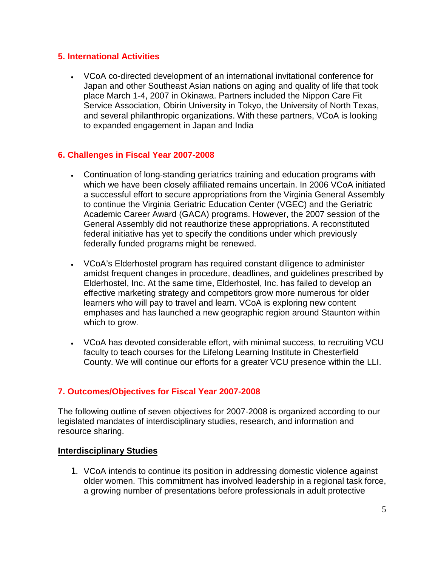#### **5. International Activities**

• VCoA co-directed development of an international invitational conference for Japan and other Southeast Asian nations on aging and quality of life that took place March 1-4, 2007 in Okinawa. Partners included the Nippon Care Fit Service Association, Obirin University in Tokyo, the University of North Texas, and several philanthropic organizations. With these partners, VCoA is looking to expanded engagement in Japan and India

### **6. Challenges in Fiscal Year 2007-2008**

- Continuation of long-standing geriatrics training and education programs with which we have been closely affiliated remains uncertain. In 2006 VCoA initiated a successful effort to secure appropriations from the Virginia General Assembly to continue the Virginia Geriatric Education Center (VGEC) and the Geriatric Academic Career Award (GACA) programs. However, the 2007 session of the General Assembly did not reauthorize these appropriations. A reconstituted federal initiative has yet to specify the conditions under which previously federally funded programs might be renewed.
- VCoA's Elderhostel program has required constant diligence to administer amidst frequent changes in procedure, deadlines, and guidelines prescribed by Elderhostel, Inc. At the same time, Elderhostel, Inc. has failed to develop an effective marketing strategy and competitors grow more numerous for older learners who will pay to travel and learn. VCoA is exploring new content emphases and has launched a new geographic region around Staunton within which to grow.
- VCoA has devoted considerable effort, with minimal success, to recruiting VCU faculty to teach courses for the Lifelong Learning Institute in Chesterfield County. We will continue our efforts for a greater VCU presence within the LLI.

## **7. Outcomes/Objectives for Fiscal Year 2007-2008**

The following outline of seven objectives for 2007-2008 is organized according to our legislated mandates of interdisciplinary studies, research, and information and resource sharing.

#### **Interdisciplinary Studies**

1. VCoA intends to continue its position in addressing domestic violence against older women. This commitment has involved leadership in a regional task force, a growing number of presentations before professionals in adult protective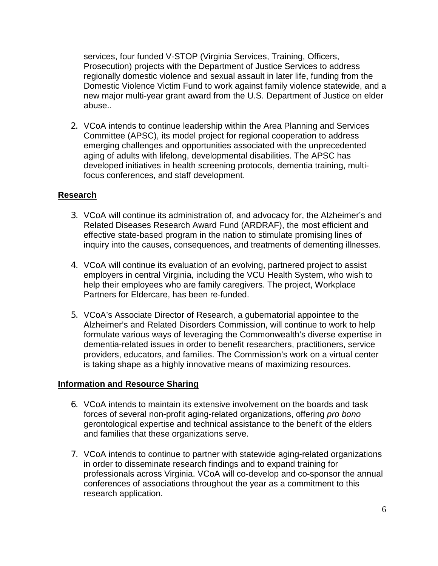services, four funded V-STOP (Virginia Services, Training, Officers, Prosecution) projects with the Department of Justice Services to address regionally domestic violence and sexual assault in later life, funding from the Domestic Violence Victim Fund to work against family violence statewide, and a new major multi-year grant award from the U.S. Department of Justice on elder abuse..

2. VCoA intends to continue leadership within the Area Planning and Services Committee (APSC), its model project for regional cooperation to address emerging challenges and opportunities associated with the unprecedented aging of adults with lifelong, developmental disabilities. The APSC has developed initiatives in health screening protocols, dementia training, multifocus conferences, and staff development.

### **Research**

- 3. VCoA will continue its administration of, and advocacy for, the Alzheimer's and Related Diseases Research Award Fund (ARDRAF), the most efficient and effective state-based program in the nation to stimulate promising lines of inquiry into the causes, consequences, and treatments of dementing illnesses.
- 4. VCoA will continue its evaluation of an evolving, partnered project to assist employers in central Virginia, including the VCU Health System, who wish to help their employees who are family caregivers. The project, Workplace Partners for Eldercare, has been re-funded.
- 5. VCoA's Associate Director of Research, a gubernatorial appointee to the Alzheimer's and Related Disorders Commission, will continue to work to help formulate various ways of leveraging the Commonwealth's diverse expertise in dementia-related issues in order to benefit researchers, practitioners, service providers, educators, and families. The Commission's work on a virtual center is taking shape as a highly innovative means of maximizing resources.

#### **Information and Resource Sharing**

- 6. VCoA intends to maintain its extensive involvement on the boards and task forces of several non-profit aging-related organizations, offering *pro bono* gerontological expertise and technical assistance to the benefit of the elders and families that these organizations serve.
- 7. VCoA intends to continue to partner with statewide aging-related organizations in order to disseminate research findings and to expand training for professionals across Virginia. VCoA will co-develop and co-sponsor the annual conferences of associations throughout the year as a commitment to this research application.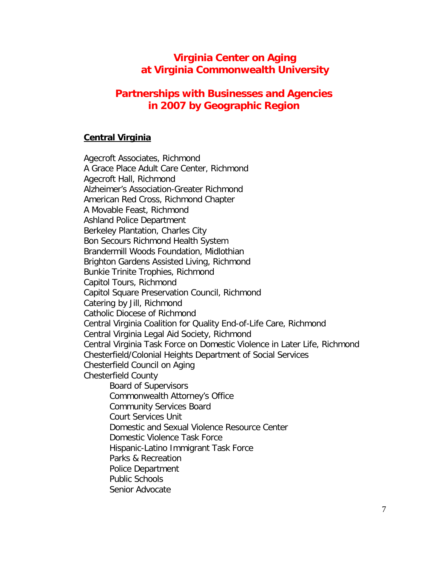# **Virginia Center on Aging at Virginia Commonwealth University**

# **Partnerships with Businesses and Agencies in 2007 by Geographic Region**

#### **Central Virginia**

Agecroft Associates, Richmond A Grace Place Adult Care Center, Richmond Agecroft Hall, Richmond Alzheimer's Association-Greater Richmond American Red Cross, Richmond Chapter A Movable Feast, Richmond Ashland Police Department Berkeley Plantation, Charles City Bon Secours Richmond Health System Brandermill Woods Foundation, Midlothian Brighton Gardens Assisted Living, Richmond Bunkie Trinite Trophies, Richmond Capitol Tours, Richmond Capitol Square Preservation Council, Richmond Catering by Jill, Richmond Catholic Diocese of Richmond Central Virginia Coalition for Quality End-of-Life Care, Richmond Central Virginia Legal Aid Society, Richmond Central Virginia Task Force on Domestic Violence in Later Life, Richmond Chesterfield/Colonial Heights Department of Social Services Chesterfield Council on Aging Chesterfield County Board of Supervisors Commonwealth Attorney's Office Community Services Board Court Services Unit Domestic and Sexual Violence Resource Center Domestic Violence Task Force Hispanic-Latino Immigrant Task Force Parks & Recreation Police Department Public Schools Senior Advocate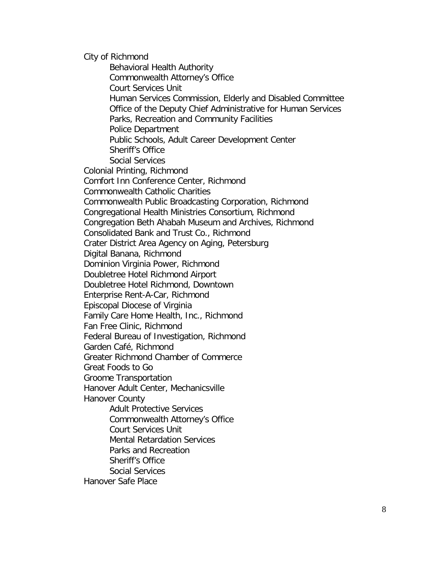City of Richmond Behavioral Health Authority Commonwealth Attorney's Office Court Services Unit Human Services Commission, Elderly and Disabled Committee Office of the Deputy Chief Administrative for Human Services Parks, Recreation and Community Facilities Police Department Public Schools, Adult Career Development Center Sheriff's Office Social Services Colonial Printing, Richmond Comfort Inn Conference Center, Richmond Commonwealth Catholic Charities Commonwealth Public Broadcasting Corporation, Richmond Congregational Health Ministries Consortium, Richmond Congregation Beth Ahabah Museum and Archives, Richmond Consolidated Bank and Trust Co., Richmond Crater District Area Agency on Aging, Petersburg Digital Banana, Richmond Dominion Virginia Power, Richmond Doubletree Hotel Richmond Airport Doubletree Hotel Richmond, Downtown Enterprise Rent-A-Car, Richmond Episcopal Diocese of Virginia Family Care Home Health, Inc., Richmond Fan Free Clinic, Richmond Federal Bureau of Investigation, Richmond Garden Café, Richmond Greater Richmond Chamber of Commerce Great Foods to Go Groome Transportation Hanover Adult Center, Mechanicsville Hanover County Adult Protective Services Commonwealth Attorney's Office Court Services Unit Mental Retardation Services Parks and Recreation Sheriff's Office Social Services Hanover Safe Place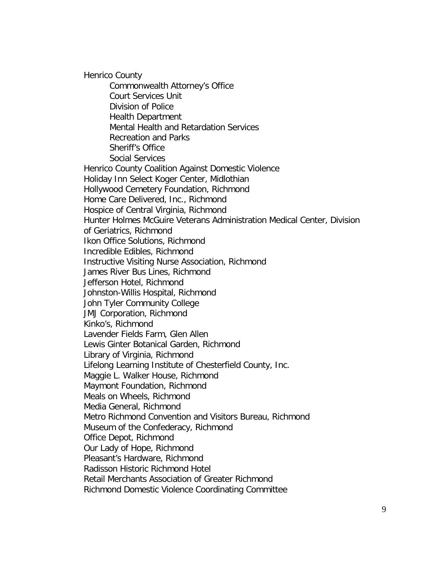Henrico County Commonwealth Attorney's Office Court Services Unit Division of Police Health Department Mental Health and Retardation Services Recreation and Parks Sheriff's Office Social Services Henrico County Coalition Against Domestic Violence Holiday Inn Select Koger Center, Midlothian Hollywood Cemetery Foundation, Richmond Home Care Delivered, Inc., Richmond Hospice of Central Virginia, Richmond Hunter Holmes McGuire Veterans Administration Medical Center, Division of Geriatrics, Richmond Ikon Office Solutions, Richmond Incredible Edibles, Richmond Instructive Visiting Nurse Association, Richmond James River Bus Lines, Richmond Jefferson Hotel, Richmond Johnston-Willis Hospital, Richmond John Tyler Community College JMJ Corporation, Richmond Kinko's, Richmond Lavender Fields Farm, Glen Allen Lewis Ginter Botanical Garden, Richmond Library of Virginia, Richmond Lifelong Learning Institute of Chesterfield County, Inc. Maggie L. Walker House, Richmond Maymont Foundation, Richmond Meals on Wheels, Richmond Media General, Richmond Metro Richmond Convention and Visitors Bureau, Richmond Museum of the Confederacy, Richmond Office Depot, Richmond Our Lady of Hope, Richmond Pleasant's Hardware, Richmond Radisson Historic Richmond Hotel Retail Merchants Association of Greater Richmond Richmond Domestic Violence Coordinating Committee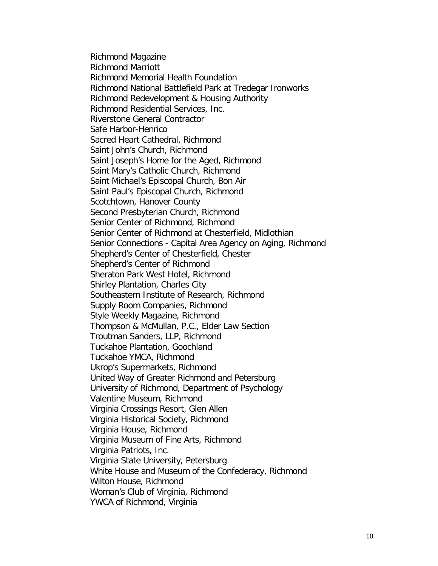Richmond Magazine Richmond Marriott Richmond Memorial Health Foundation Richmond National Battlefield Park at Tredegar Ironworks Richmond Redevelopment & Housing Authority Richmond Residential Services, Inc. Riverstone General Contractor Safe Harbor-Henrico Sacred Heart Cathedral, Richmond Saint John's Church, Richmond Saint Joseph's Home for the Aged, Richmond Saint Mary's Catholic Church, Richmond Saint Michael's Episcopal Church, Bon Air Saint Paul's Episcopal Church, Richmond Scotchtown, Hanover County Second Presbyterian Church, Richmond Senior Center of Richmond, Richmond Senior Center of Richmond at Chesterfield, Midlothian Senior Connections - Capital Area Agency on Aging, Richmond Shepherd's Center of Chesterfield, Chester Shepherd's Center of Richmond Sheraton Park West Hotel, Richmond Shirley Plantation, Charles City Southeastern Institute of Research, Richmond Supply Room Companies, Richmond Style Weekly Magazine, Richmond Thompson & McMullan, P.C., Elder Law Section Troutman Sanders, LLP, Richmond Tuckahoe Plantation, Goochland Tuckahoe YMCA, Richmond Ukrop's Supermarkets, Richmond United Way of Greater Richmond and Petersburg University of Richmond, Department of Psychology Valentine Museum, Richmond Virginia Crossings Resort, Glen Allen Virginia Historical Society, Richmond Virginia House, Richmond Virginia Museum of Fine Arts, Richmond Virginia Patriots, Inc. Virginia State University, Petersburg White House and Museum of the Confederacy, Richmond Wilton House, Richmond Woman's Club of Virginia, Richmond YWCA of Richmond, Virginia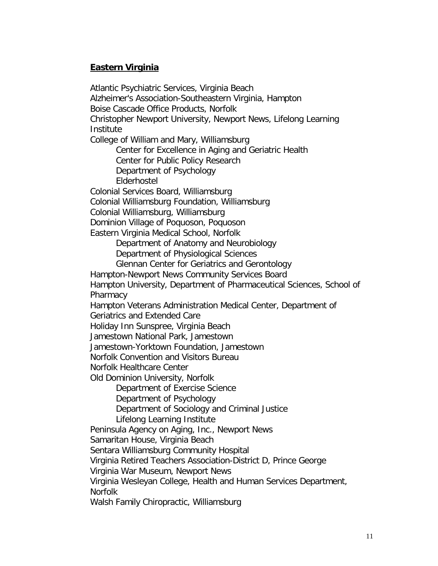## **Eastern Virginia**

Atlantic Psychiatric Services, Virginia Beach Alzheimer's Association-Southeastern Virginia, Hampton Boise Cascade Office Products, Norfolk Christopher Newport University, Newport News, Lifelong Learning Institute College of William and Mary, Williamsburg Center for Excellence in Aging and Geriatric Health Center for Public Policy Research Department of Psychology Elderhostel Colonial Services Board, Williamsburg Colonial Williamsburg Foundation, Williamsburg Colonial Williamsburg, Williamsburg Dominion Village of Poquoson, Poquoson Eastern Virginia Medical School, Norfolk Department of Anatomy and Neurobiology Department of Physiological Sciences Glennan Center for Geriatrics and Gerontology Hampton-Newport News Community Services Board Hampton University, Department of Pharmaceutical Sciences, School of **Pharmacy** Hampton Veterans Administration Medical Center, Department of Geriatrics and Extended Care Holiday Inn Sunspree, Virginia Beach Jamestown National Park, Jamestown Jamestown-Yorktown Foundation, Jamestown Norfolk Convention and Visitors Bureau Norfolk Healthcare Center Old Dominion University, Norfolk Department of Exercise Science Department of Psychology Department of Sociology and Criminal Justice Lifelong Learning Institute Peninsula Agency on Aging, Inc., Newport News Samaritan House, Virginia Beach Sentara Williamsburg Community Hospital Virginia Retired Teachers Association-District D, Prince George Virginia War Museum, Newport News Virginia Wesleyan College, Health and Human Services Department, **Norfolk** Walsh Family Chiropractic, Williamsburg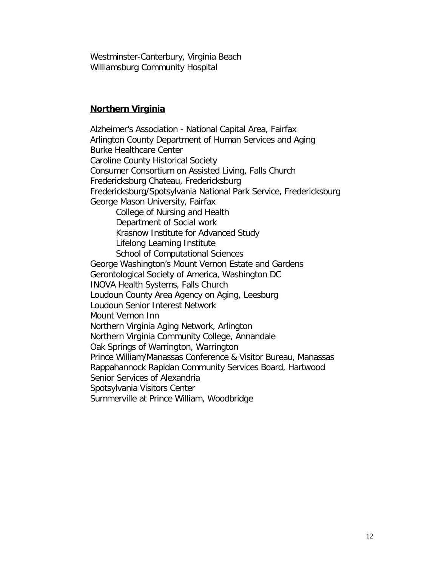Westminster-Canterbury, Virginia Beach Williamsburg Community Hospital

#### **Northern Virginia**

Alzheimer's Association - National Capital Area, Fairfax Arlington County Department of Human Services and Aging Burke Healthcare Center Caroline County Historical Society Consumer Consortium on Assisted Living, Falls Church Fredericksburg Chateau, Fredericksburg Fredericksburg/Spotsylvania National Park Service, Fredericksburg George Mason University, Fairfax College of Nursing and Health Department of Social work Krasnow Institute for Advanced Study Lifelong Learning Institute School of Computational Sciences George Washington's Mount Vernon Estate and Gardens Gerontological Society of America, Washington DC INOVA Health Systems, Falls Church Loudoun County Area Agency on Aging, Leesburg Loudoun Senior Interest Network Mount Vernon Inn Northern Virginia Aging Network, Arlington Northern Virginia Community College, Annandale Oak Springs of Warrington, Warrington Prince William/Manassas Conference & Visitor Bureau, Manassas Rappahannock Rapidan Community Services Board, Hartwood Senior Services of Alexandria Spotsylvania Visitors Center Summerville at Prince William, Woodbridge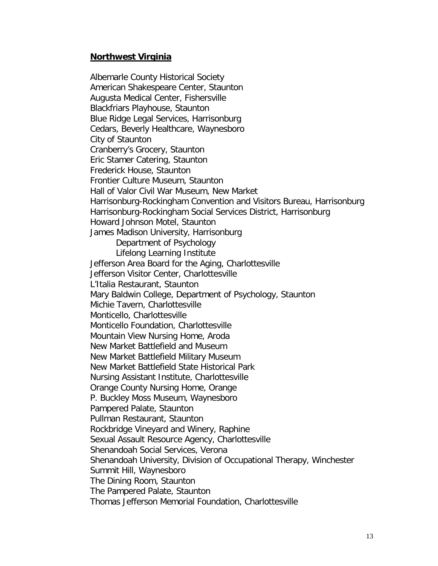#### **Northwest Virginia**

Albemarle County Historical Society American Shakespeare Center, Staunton Augusta Medical Center, Fishersville Blackfriars Playhouse, Staunton Blue Ridge Legal Services, Harrisonburg Cedars, Beverly Healthcare, Waynesboro City of Staunton Cranberry's Grocery, Staunton Eric Stamer Catering, Staunton Frederick House, Staunton Frontier Culture Museum, Staunton Hall of Valor Civil War Museum, New Market Harrisonburg-Rockingham Convention and Visitors Bureau, Harrisonburg Harrisonburg-Rockingham Social Services District, Harrisonburg Howard Johnson Motel, Staunton James Madison University, Harrisonburg Department of Psychology Lifelong Learning Institute Jefferson Area Board for the Aging, Charlottesville Jefferson Visitor Center, Charlottesville L'Italia Restaurant, Staunton Mary Baldwin College, Department of Psychology, Staunton Michie Tavern, Charlottesville Monticello, Charlottesville Monticello Foundation, Charlottesville Mountain View Nursing Home, Aroda New Market Battlefield and Museum New Market Battlefield Military Museum New Market Battlefield State Historical Park Nursing Assistant Institute, Charlottesville Orange County Nursing Home, Orange P. Buckley Moss Museum, Waynesboro Pampered Palate, Staunton Pullman Restaurant, Staunton Rockbridge Vineyard and Winery, Raphine Sexual Assault Resource Agency, Charlottesville Shenandoah Social Services, Verona Shenandoah University, Division of Occupational Therapy, Winchester Summit Hill, Waynesboro The Dining Room, Staunton The Pampered Palate, Staunton Thomas Jefferson Memorial Foundation, Charlottesville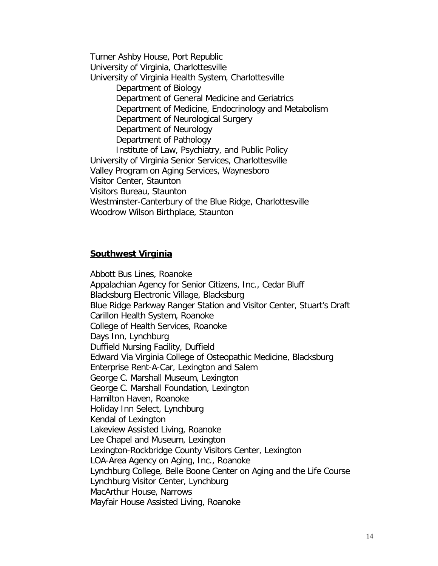Turner Ashby House, Port Republic University of Virginia, Charlottesville University of Virginia Health System, Charlottesville Department of Biology Department of General Medicine and Geriatrics Department of Medicine, Endocrinology and Metabolism Department of Neurological Surgery Department of Neurology Department of Pathology Institute of Law, Psychiatry, and Public Policy University of Virginia Senior Services, Charlottesville Valley Program on Aging Services, Waynesboro Visitor Center, Staunton Visitors Bureau, Staunton Westminster-Canterbury of the Blue Ridge, Charlottesville Woodrow Wilson Birthplace, Staunton

#### **Southwest Virginia**

Abbott Bus Lines, Roanoke Appalachian Agency for Senior Citizens, Inc., Cedar Bluff Blacksburg Electronic Village, Blacksburg Blue Ridge Parkway Ranger Station and Visitor Center, Stuart's Draft Carillon Health System, Roanoke College of Health Services, Roanoke Days Inn, Lynchburg Duffield Nursing Facility, Duffield Edward Via Virginia College of Osteopathic Medicine, Blacksburg Enterprise Rent-A-Car, Lexington and Salem George C. Marshall Museum, Lexington George C. Marshall Foundation, Lexington Hamilton Haven, Roanoke Holiday Inn Select, Lynchburg Kendal of Lexington Lakeview Assisted Living, Roanoke Lee Chapel and Museum, Lexington Lexington-Rockbridge County Visitors Center, Lexington LOA-Area Agency on Aging, Inc., Roanoke Lynchburg College, Belle Boone Center on Aging and the Life Course Lynchburg Visitor Center, Lynchburg MacArthur House, Narrows Mayfair House Assisted Living, Roanoke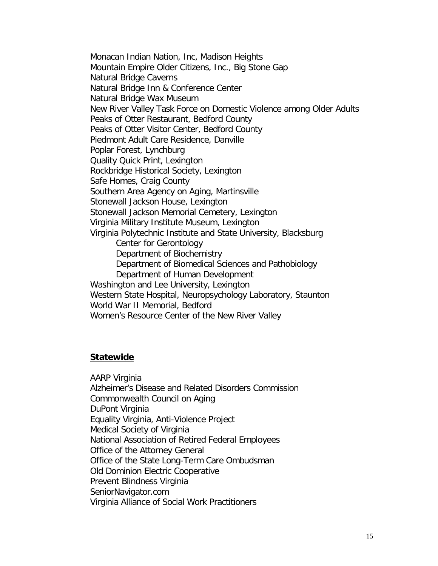Monacan Indian Nation, Inc, Madison Heights Mountain Empire Older Citizens, Inc., Big Stone Gap Natural Bridge Caverns Natural Bridge Inn & Conference Center Natural Bridge Wax Museum New River Valley Task Force on Domestic Violence among Older Adults Peaks of Otter Restaurant, Bedford County Peaks of Otter Visitor Center, Bedford County Piedmont Adult Care Residence, Danville Poplar Forest, Lynchburg Quality Quick Print, Lexington Rockbridge Historical Society, Lexington Safe Homes, Craig County Southern Area Agency on Aging, Martinsville Stonewall Jackson House, Lexington Stonewall Jackson Memorial Cemetery, Lexington Virginia Military Institute Museum, Lexington Virginia Polytechnic Institute and State University, Blacksburg Center for Gerontology Department of Biochemistry Department of Biomedical Sciences and Pathobiology Department of Human Development Washington and Lee University, Lexington Western State Hospital, Neuropsychology Laboratory, Staunton World War II Memorial, Bedford Women's Resource Center of the New River Valley

#### **Statewide**

AARP Virginia Alzheimer's Disease and Related Disorders Commission Commonwealth Council on Aging DuPont Virginia Equality Virginia, Anti-Violence Project Medical Society of Virginia National Association of Retired Federal Employees Office of the Attorney General Office of the State Long-Term Care Ombudsman Old Dominion Electric Cooperative Prevent Blindness Virginia SeniorNavigator.com Virginia Alliance of Social Work Practitioners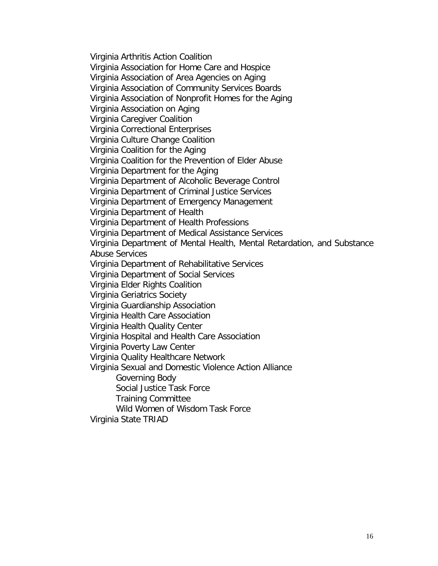Virginia Arthritis Action Coalition Virginia Association for Home Care and Hospice Virginia Association of Area Agencies on Aging Virginia Association of Community Services Boards Virginia Association of Nonprofit Homes for the Aging Virginia Association on Aging Virginia Caregiver Coalition Virginia Correctional Enterprises Virginia Culture Change Coalition Virginia Coalition for the Aging Virginia Coalition for the Prevention of Elder Abuse Virginia Department for the Aging Virginia Department of Alcoholic Beverage Control Virginia Department of Criminal Justice Services Virginia Department of Emergency Management Virginia Department of Health Virginia Department of Health Professions Virginia Department of Medical Assistance Services Virginia Department of Mental Health, Mental Retardation, and Substance Abuse Services Virginia Department of Rehabilitative Services Virginia Department of Social Services Virginia Elder Rights Coalition Virginia Geriatrics Society Virginia Guardianship Association Virginia Health Care Association Virginia Health Quality Center Virginia Hospital and Health Care Association Virginia Poverty Law Center Virginia Quality Healthcare Network Virginia Sexual and Domestic Violence Action Alliance Governing Body Social Justice Task Force Training Committee Wild Women of Wisdom Task Force Virginia State TRIAD